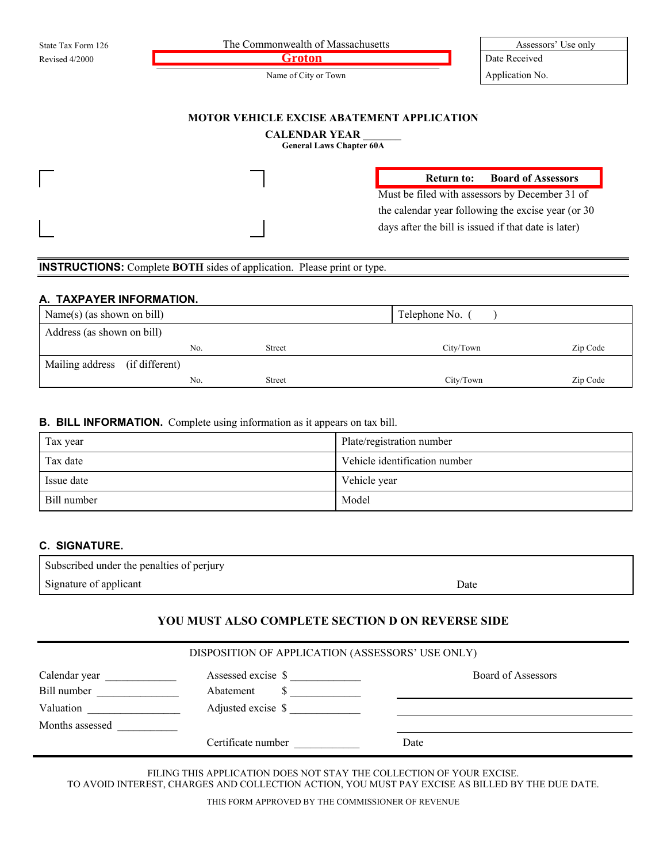| State Tax Form 126 | The Commonwealth of Massachusetts |  | Assessors' Use only |
|--------------------|-----------------------------------|--|---------------------|
| Revised 4/2000     | ∣÷r∩t∩n                           |  | Date Received       |
|                    | Name of City or Town              |  | Application No.     |

# **MOTOR VEHICLE EXCISE ABATEMENT APPLICATION**

### **CALENDAR YEAR \_\_\_\_\_\_\_**

**General Laws Chapter 60A**

#### **Return to: Board of Assessors**

Must be filed with assessors by December 31 of the calendar year following the excise year (or 30 days after the bill is issued if that date is later)

### **INSTRUCTIONS:** Complete **BOTH** sides of application. Please print or type.

# **A. TAXPAYER INFORMATION.**

| Name(s) (as shown on bill)     |     | Telephone No. |           |          |
|--------------------------------|-----|---------------|-----------|----------|
| Address (as shown on bill)     |     |               |           |          |
|                                | No. | Street        | City/Town | Zip Code |
| Mailing address (if different) |     |               |           |          |
|                                | No. | <b>Street</b> | City/Town | Zip Code |

#### **B. BILL INFORMATION.** Complete using information as it appears on tax bill.

| Tax year    | Plate/registration number     |
|-------------|-------------------------------|
| Tax date    | Vehicle identification number |
| Issue date  | Vehicle year                  |
| Bill number | Model                         |

# **C. SIGNATURE.**

| Subscribed under the penalties of perjury |      |
|-------------------------------------------|------|
| Signature of applicant                    | Date |
|                                           |      |

### **YOU MUST ALSO COMPLETE SECTION D ON REVERSE SIDE**

| DISPOSITION OF APPLICATION (ASSESSORS' USE ONLY) |                    |                    |  |
|--------------------------------------------------|--------------------|--------------------|--|
| Calendar year                                    | Assessed excise \$ | Board of Assessors |  |
| Bill number                                      | Abatement          |                    |  |
| Valuation                                        | Adjusted excise \$ |                    |  |
| Months assessed                                  |                    |                    |  |
|                                                  | Certificate number | Date               |  |

FILING THIS APPLICATION DOES NOT STAY THE COLLECTION OF YOUR EXCISE. TO AVOID INTEREST, CHARGES AND COLLECTION ACTION, YOU MUST PAY EXCISE AS BILLED BY THE DUE DATE.

THIS FORM APPROVED BY THE COMMISSIONER OF REVENUE